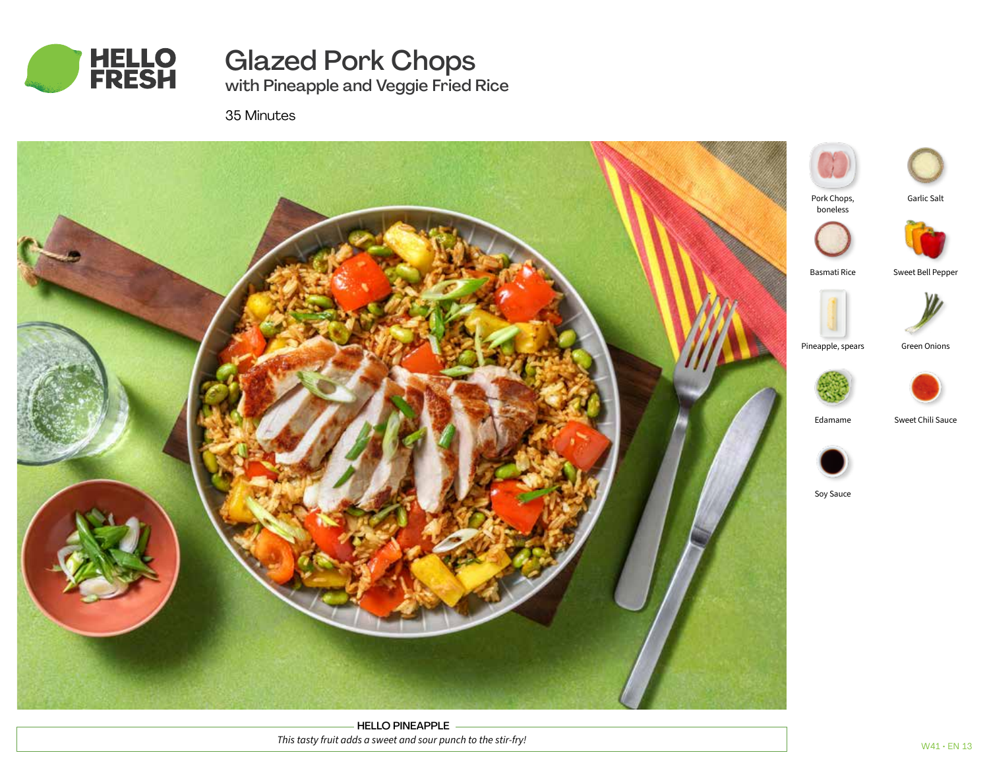

Glazed Pork Chops

with Pineapple and Veggie Fried Rice

35 Minutes



HELLO PINEAPPLE *This tasty fruit adds a sweet and sour punch to the stir-fry!*